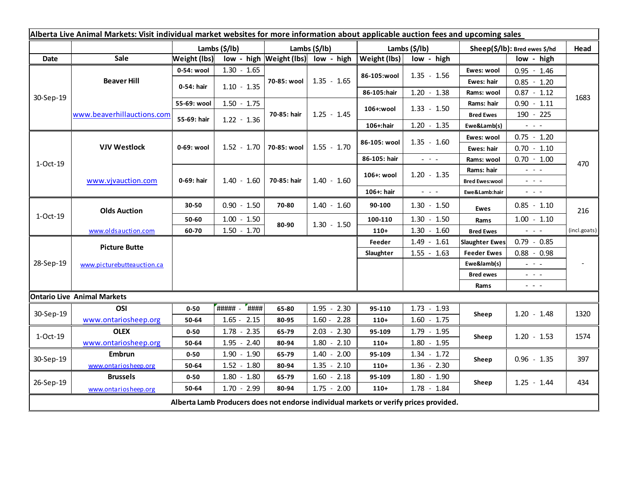| Alberta Live Animal Markets: Visit individual market websites for more information about applicable auction fees and upcoming sales |                            |                       |                     |                           |                                               |                       |                                             |                               |                     |              |
|-------------------------------------------------------------------------------------------------------------------------------------|----------------------------|-----------------------|---------------------|---------------------------|-----------------------------------------------|-----------------------|---------------------------------------------|-------------------------------|---------------------|--------------|
|                                                                                                                                     |                            | Lambs $(\frac{2}{3})$ |                     | Lambs $(\frac{2}{3})$ lb) |                                               | Lambs $(\frac{2}{3})$ |                                             | Sheep(\$/lb): Bred ewes \$/hd |                     | Head         |
| <b>Date</b>                                                                                                                         | Sale                       | Weight (lbs)          |                     |                           | low - high $ \text{Weight (lbs)} $ low - high | Weight (lbs)          | low - high                                  |                               | low - high          |              |
| 30-Sep-19                                                                                                                           | <b>Beaver Hill</b>         | 0-54: wool            | $1.30 - 1.65$       | 70-85: wool               | $1.35 - 1.65$                                 | 86-105:wool           | $1.35 - 1.56$                               | Ewes: wool                    | $0.95 - 1.46$       |              |
|                                                                                                                                     |                            | 0-54: hair            | $1.10 - 1.35$       |                           |                                               |                       |                                             | Ewes: hair                    | $0.85 - 1.20$       |              |
|                                                                                                                                     |                            |                       |                     |                           |                                               | 86-105:hair           | $1.20 - 1.38$                               | Rams: wool                    | $0.87 - 1.12$       | 1683         |
|                                                                                                                                     | www.beaverhillauctions.com | 55-69: wool           | $1.50 - 1.75$       | 70-85: hair               | $1.25 - 1.45$                                 | 106+:wool             | $1.33 - 1.50$                               | Rams: hair                    | $0.90 - 1.11$       |              |
|                                                                                                                                     |                            | 55-69: hair           | $1.22 - 1.36$       |                           |                                               |                       |                                             | <b>Bred Ewes</b>              | 190 - 225           |              |
|                                                                                                                                     |                            |                       |                     |                           |                                               | 106+:hair             | $1.20 - 1.35$                               | Ewe&Lamb(s)                   | $ -$                |              |
| 1-Oct-19                                                                                                                            | <b>VJV Westlock</b>        | 0-69: wool            |                     | 70-85: wool               | $1.55 - 1.70$                                 | 86-105: wool          | $1.35 - 1.60$                               | Ewes: wool                    | $0.75 - 1.20$       |              |
|                                                                                                                                     |                            |                       | $1.52 - 1.70$       |                           |                                               |                       |                                             | Ewes: hair                    | $0.70 - 1.10$       |              |
|                                                                                                                                     |                            |                       |                     |                           |                                               | 86-105: hair          | $\omega_{\rm{eff}}=0.1$                     | Rams: wool                    | $0.70 - 1.00$       | 470          |
|                                                                                                                                     | www.vjvauction.com         | 0-69: hair            |                     | 70-85: hair               | $1.40 - 1.60$                                 | 106+: wool            | $1.20 - 1.35$                               | Rams: hair                    | $\sim$ $ \sim$      |              |
|                                                                                                                                     |                            |                       | $1.40 - 1.60$       |                           |                                               |                       |                                             | <b>Bred Ewes:wool</b>         | $  -$               |              |
|                                                                                                                                     |                            |                       |                     |                           |                                               | 106+: hair            | $\omega_{\rm{max}}$ and $\omega_{\rm{max}}$ | Ewe&Lamb:hair                 | $ -$                |              |
| 1-Oct-19                                                                                                                            | <b>Olds Auction</b>        | 30-50                 | $0.90 - 1.50$       | 70-80                     | $1.40 - 1.60$                                 | 90-100                | $1.30 - 1.50$                               | <b>Ewes</b>                   | $0.85 - 1.10$       | 216          |
|                                                                                                                                     |                            | 50-60                 | $1.00 - 1.50$       | 80-90                     | $1.30 - 1.50$                                 | 100-110               | $1.30 - 1.50$                               | Rams                          | $1.00 - 1.10$       |              |
|                                                                                                                                     | www.oldsauction.com        | 60-70                 | $1.50 - 1.70$       |                           |                                               | $110+$                | $1.30 - 1.60$                               | <b>Bred Ewes</b>              | $\omega_{\rm{max}}$ | (incl.goats) |
| 28-Sep-19                                                                                                                           | <b>Picture Butte</b>       |                       |                     |                           |                                               | Feeder                | $1.49 - 1.61$                               | <b>Slaughter Ewes</b>         | $0.79 - 0.85$       |              |
|                                                                                                                                     | www.picturebutteauction.ca |                       |                     |                           |                                               | Slaughter             | $1.55 - 1.63$                               | <b>Feeder Ewes</b>            | $0.88 - 0.98$       |              |
|                                                                                                                                     |                            |                       |                     |                           |                                               |                       |                                             | Ewe&lamb(s)                   | $  -$               |              |
|                                                                                                                                     |                            |                       |                     |                           |                                               |                       |                                             | <b>Bred ewes</b>              | $\sim$ $ \sim$      |              |
|                                                                                                                                     |                            |                       |                     |                           |                                               |                       |                                             | Rams                          | $\sim$ $ -$         |              |
| <b>Ontario Live Animal Markets</b>                                                                                                  |                            |                       |                     |                           |                                               |                       |                                             |                               |                     |              |
| 30-Sep-19                                                                                                                           | OSI                        | $0 - 50$              | ##### -<br>$H$ #### | 65-80                     | $1.95 - 2.30$                                 | 95-110                | $1.73 - 1.93$                               | Sheep                         | $1.20 - 1.48$       | 1320         |
|                                                                                                                                     | www.ontariosheep.org       | 50-64                 | $1.65 - 2.15$       | 80-95                     | $1.60 - 2.28$                                 | $110+$                | $1.60 - 1.75$                               |                               |                     |              |
| 1-Oct-19                                                                                                                            | <b>OLEX</b>                | 0-50                  | $1.78 - 2.35$       | 65-79                     | $2.03 - 2.30$                                 | 95-109                | $1.79 - 1.95$                               | Sheep                         | $1.20 - 1.53$       | 1574         |
|                                                                                                                                     | www.ontariosheep.org       | 50-64                 | $1.95 - 2.40$       | 80-94                     | $1.80 - 2.10$                                 | $110+$                | $1.80 - 1.95$                               |                               |                     |              |
| 30-Sep-19                                                                                                                           | <b>Embrun</b>              | $0 - 50$              | $1.90 - 1.90$       | 65-79                     | $1.40 - 2.00$                                 | 95-109                | $1.34 - 1.72$                               | Sheep                         | $0.96 - 1.35$       | 397          |
|                                                                                                                                     | www.ontariosheep.org       | 50-64                 | $1.52 - 1.80$       | 80-94                     | $1.35 - 2.10$                                 | $110+$                | $1.36 - 2.30$                               |                               |                     |              |
| 26-Sep-19                                                                                                                           | <b>Brussels</b>            | $0 - 50$              | $1.80 - 1.80$       | 65-79                     | $1.60 - 2.18$                                 | 95-109                | $1.80 - 1.90$                               | Sheep                         | $1.25 - 1.44$       | 434          |
|                                                                                                                                     | www.ontariosheep.org       | 50-64                 | $1.70 - 2.99$       | 80-94                     | $1.75 - 2.00$                                 | $110+$                | $1.78 - 1.84$                               |                               |                     |              |
| Alberta Lamb Producers does not endorse individual markets or verify prices provided.                                               |                            |                       |                     |                           |                                               |                       |                                             |                               |                     |              |